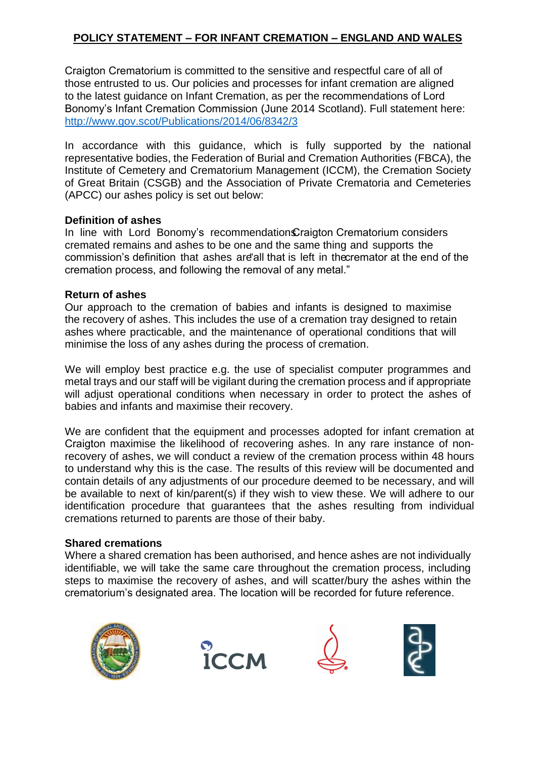# **POLICY STATEMENT – FOR INFANT CREMATION – ENGLAND AND WALES**

Craigton Crematorium is committed to the sensitive and respectful care of all of those entrusted to us. Our policies and processes for infant cremation are aligned to the latest guidance on Infant Cremation, as per the recommendations of Lord Bonomy's Infant Cremation Commission (June 2014 Scotland). Full statement here: http://www.gov.scot/Publicatio[ns/2014/06/8342/3](http://www.gov.scot/Publications/2014/06/8342/3)

In accordance with this guidance, which is fully supported by the national representative bodies, the Federation of Burial and Cremation Authorities (FBCA), the Institute of Cemetery and Crematorium Management (ICCM), the Cremation Society of Great Britain (CSGB) and the Association of Private Crematoria and Cemeteries (APCC) our ashes policy is set out below:

#### **Definition of ashes**

In line with Lord Bonomy's recommendation Craigton Crematorium considers cremated remains and ashes to be one and the same thing and supports the commission's definition that ashes are"all that is left in thecremator at the end of the cremation process, and following the removal of any metal."

### **Return of ashes**

Our approach to the cremation of babies and infants is designed to maximise the recovery of ashes. This includes the use of a cremation tray designed to retain ashes where practicable, and the maintenance of operational conditions that will minimise the loss of any ashes during the process of cremation.

We will employ best practice e.g. the use of specialist computer programmes and metal trays and our staff will be vigilant during the cremation process and if appropriate will adjust operational conditions when necessary in order to protect the ashes of babies and infants and maximise their recovery.

We are confident that the equipment and processes adopted for infant cremation at Craigton maximise the likelihood of recovering ashes. In any rare instance of nonrecovery of ashes, we will conduct a review of the cremation process within 48 hours to understand why this is the case. The results of this review will be documented and contain details of any adjustments of our procedure deemed to be necessary, and will be available to next of kin/parent(s) if they wish to view these. We will adhere to our identification procedure that guarantees that the ashes resulting from individual cremations returned to parents are those of their baby.

### **Shared cremations**

Where a shared cremation has been authorised, and hence ashes are not individually identifiable, we will take the same care throughout the cremation process, including steps to maximise the recovery of ashes, and will scatter/bury the ashes within the crematorium's designated area. The location will be recorded for future reference.